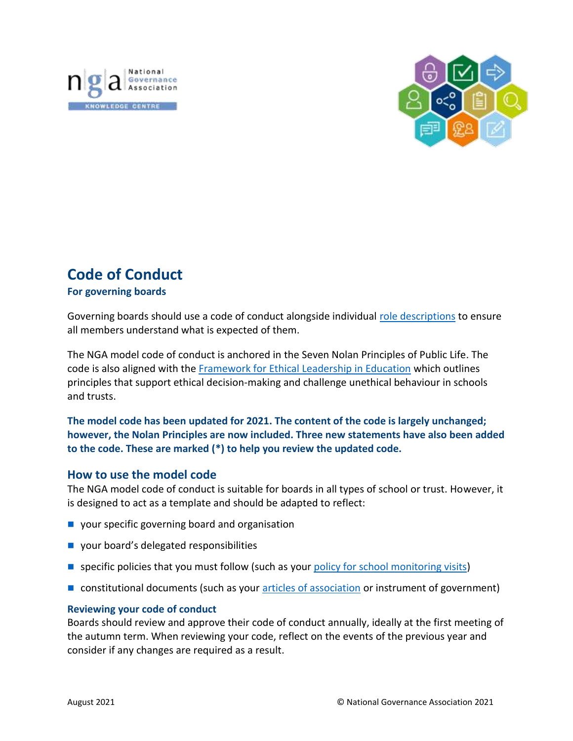



# **Code of Conduct**

# **For governing boards**

Governing boards should use a code of conduct alongside individual [role descriptions](https://www.nga.org.uk/Knowledge-Centre/Good-governance/Effective-governance/Governing-Roles/Role-descriptions.aspx) to ensure all members understand what is expected of them.

The NGA model code of conduct is anchored in the Seven Nolan Principles of Public Life. The code is also aligned with the [Framework for Ethical Leadership in Education](https://www.nga.org.uk/Knowledge-Centre/Good-governance/Ethical-governance/Framework-for-Ethical-Leadership-in-Education.aspx?login=success) which outlines principles that support ethical decision-making and challenge unethical behaviour in schools and trusts.

# **The model code has been updated for 2021. The content of the code is largely unchanged; however, the Nolan Principles are now included. Three new statements have also been added to the code. These are marked (\*) to help you review the updated code.**

# **How to use the model code**

The NGA model code of conduct is suitable for boards in all types of school or trust. However, it is designed to act as a template and should be adapted to reflect:

- your specific governing board and organisation
- your board's delegated responsibilities
- **■** specific policies that you must follow (such as your [policy for school monitoring visits\)](https://www.nga.org.uk/Knowledge-Centre/Good-governance/Effective-governance/NGA-Guidance-on-school-visits.aspx)
- constitutional documents (such as your [articles of association](https://www.nga.org.uk/Knowledge-Centre/Governance-structure-roles-and-responsibilities/Academy-trusts/Guidance-Changing-Articles-of-Association.aspx) or instrument of government)

# **Reviewing your code of conduct**

Boards should review and approve their code of conduct annually, ideally at the first meeting of the autumn term. When reviewing your code, reflect on the events of the previous year and consider if any changes are required as a result.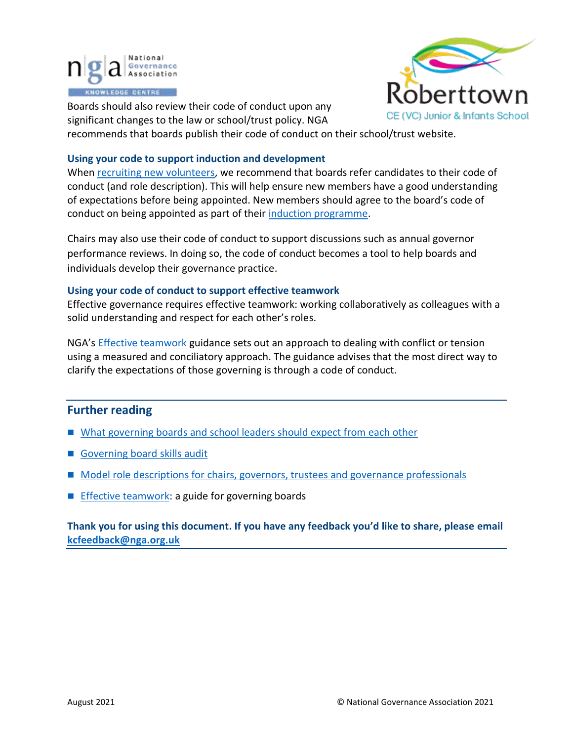



Boards should also review their code of conduct upon any significant changes to the law or school/trust policy. NGA

recommends that boards publish their code of conduct on their school/trust website.

## **Using your code to support induction and development**

When [recruiting new volunteers,](https://www.nga.org.uk/Knowledge-Centre/Governance-structure-roles-and-responsibilities/Roles-and-responsibilities/Composition/The-right-people-around-the-table-a-guide-to-recru.aspx) we recommend that boards refer candidates to their code of conduct (and role description). This will help ensure new members have a good understanding of expectations before being appointed. New members should agree to the board's code of conduct on being appointed as part of thei[r induction programme.](https://www.nga.org.uk/Knowledge-Centre/Governance-structure-roles-and-responsibilities/Induction.aspx)

Chairs may also use their code of conduct to support discussions such as annual governor performance reviews. In doing so, the code of conduct becomes a tool to help boards and individuals develop their governance practice.

## **Using your code of conduct to support effective teamwork**

Effective governance requires effective teamwork: working collaboratively as colleagues with a solid understanding and respect for each other's roles.

NGA's [Effective teamwork](https://www.nga.org.uk/Knowledge-Centre/Good-governance/Effective-governance/Board-Dynamics.aspx) guidance sets out an approach to dealing with conflict or tension using a measured and conciliatory approach. The guidance advises that the most direct way to clarify the expectations of those governing is through a code of conduct.

# **Further reading**

- [What governing boards and school leaders should expect from each other](https://www.nga.org.uk/Knowledge-Centre/Leaders-governing-boards/School-Leaders-and-Governing-Boards-What-do-we-Expect-of-Each-Other.aspx)
- Governing board [skills](https://www.nga.org.uk/Knowledge-Centre/Good-governance/Effective-governance/Governing-Board-Self-Review-(1)/Skills-Audit-and-Skills-Matrix-(1).aspx) audit
- [Model role descriptions for chairs, governors, trustees and governance](https://www.nga.org.uk/Knowledge-Centre/Good-governance/Effective-governance/Governing-Roles/Role-descriptions.aspx) professionals
- [Effective teamwork: a guide for](https://www.nga.org.uk/Knowledge-Centre/Good-governance/Effective-governance/Board-Dynamics.aspx) governing boards

**Thank you for using this document. If you have any feedback you'd like to share, please email [kcfeedback@nga.org.uk](mailto:kcfeedback@nga.org.uk)**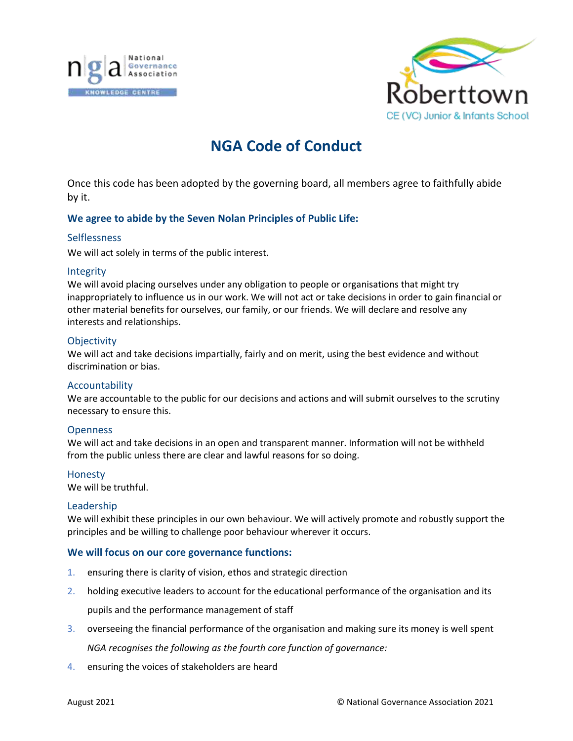



# **NGA Code of Conduct**

Once this code has been adopted by the governing board, all members agree to faithfully abide by it.

## **We agree to abide by the Seven Nolan Principles of Public Life:**

#### **Selflessness**

We will act solely in terms of the public interest.

#### Integrity

We will avoid placing ourselves under any obligation to people or organisations that might try inappropriately to influence us in our work. We will not act or take decisions in order to gain financial or other material benefits for ourselves, our family, or our friends. We will declare and resolve any interests and relationships.

#### **Objectivity**

We will act and take decisions impartially, fairly and on merit, using the best evidence and without discrimination or bias.

## Accountability

We are accountable to the public for our decisions and actions and will submit ourselves to the scrutiny necessary to ensure this.

## **Openness**

We will act and take decisions in an open and transparent manner. Information will not be withheld from the public unless there are clear and lawful reasons for so doing.

#### Honesty

We will be truthful.

#### Leadership

We will exhibit these principles in our own behaviour. We will actively promote and robustly support the principles and be willing to challenge poor behaviour wherever it occurs.

## **We will focus on our core governance functions:**

- 1. ensuring there is clarity of vision, ethos and strategic direction
- 2. holding executive leaders to account for the educational performance of the organisation and its pupils and the performance management of staff
- 3. overseeing the financial performance of the organisation and making sure its money is well spent *NGA recognises the following as the fourth core function of governance:*
- 4. ensuring the voices of stakeholders are heard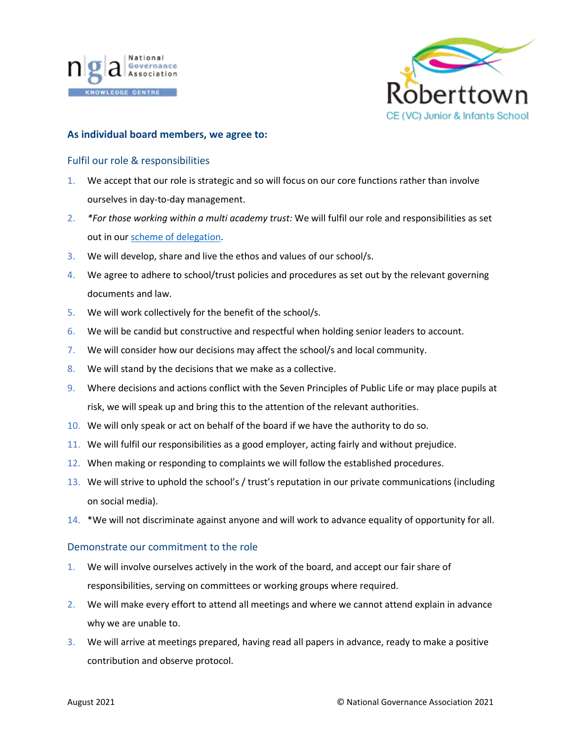



#### **As individual board members, we agree to:**

#### Fulfil our role & responsibilities

- 1. We accept that our role is strategic and so will focus on our core functions rather than involve ourselves in day-to-day management.
- 2. *\*For those working within a multi academy trust:* We will fulfil our role and responsibilities as set out in ou[r scheme of delegation.](https://www.nga.org.uk/Knowledge-Centre/Governance-structure-roles-and-responsibilities/Academy-trusts/Scheme-of-delegation.aspx)
- 3. We will develop, share and live the ethos and values of our school/s.
- 4. We agree to adhere to school/trust policies and procedures as set out by the relevant governing documents and law.
- 5. We will work collectively for the benefit of the school/s.
- 6. We will be candid but constructive and respectful when holding senior leaders to account.
- 7. We will consider how our decisions may affect the school/s and local community.
- 8. We will stand by the decisions that we make as a collective.
- 9. Where decisions and actions conflict with the Seven Principles of Public Life or may place pupils at risk, we will speak up and bring this to the attention of the relevant authorities.
- 10. We will only speak or act on behalf of the board if we have the authority to do so.
- 11. We will fulfil our responsibilities as a good employer, acting fairly and without prejudice.
- 12. When making or responding to complaints we will follow the established procedures.
- 13. We will strive to uphold the school's / trust's reputation in our private communications (including on social media).
- 14. \*We will not discriminate against anyone and will work to advance equality of opportunity for all.

#### Demonstrate our commitment to the role

- 1. We will involve ourselves actively in the work of the board, and accept our fair share of responsibilities, serving on committees or working groups where required.
- 2. We will make every effort to attend all meetings and where we cannot attend explain in advance why we are unable to.
- 3. We will arrive at meetings prepared, having read all papers in advance, ready to make a positive contribution and observe protocol.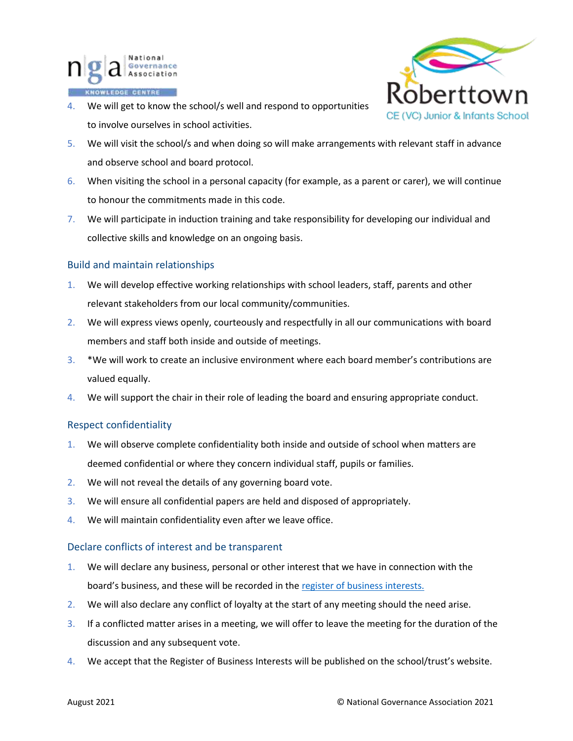

4. We will get to know the school/s well and respond to opportunities to involve ourselves in school activities.



- 5. We will visit the school/s and when doing so will make arrangements with relevant staff in advance and observe school and board protocol.
- 6. When visiting the school in a personal capacity (for example, as a parent or carer), we will continue to honour the commitments made in this code.
- 7. We will participate in induction training and take responsibility for developing our individual and collective skills and knowledge on an ongoing basis.

# Build and maintain relationships

- 1. We will develop effective working relationships with school leaders, staff, parents and other relevant stakeholders from our local community/communities.
- 2. We will express views openly, courteously and respectfully in all our communications with board members and staff both inside and outside of meetings.
- 3. \*We will work to create an inclusive environment where each board member's contributions are valued equally.
- 4. We will support the chair in their role of leading the board and ensuring appropriate conduct.

## Respect confidentiality

- 1. We will observe complete confidentiality both inside and outside of school when matters are deemed confidential or where they concern individual staff, pupils or families.
- 2. We will not reveal the details of any governing board vote.
- 3. We will ensure all confidential papers are held and disposed of appropriately.
- 4. We will maintain confidentiality even after we leave office.

## Declare conflicts of interest and be transparent

- 1. We will declare any business, personal or other interest that we have in connection with the board's business, and these will be recorded in the [register of business interests.](https://www.nga.org.uk/Knowledge-Centre/Compliance/Policies-and-procedures/Declaration-and-register-of-interests-forms.aspx)
- 2. We will also declare any conflict of loyalty at the start of any meeting should the need arise.
- 3. If a conflicted matter arises in a meeting, we will offer to leave the meeting for the duration of the discussion and any subsequent vote.
- 4. We accept that the Register of Business Interests will be published on the school/trust's website.